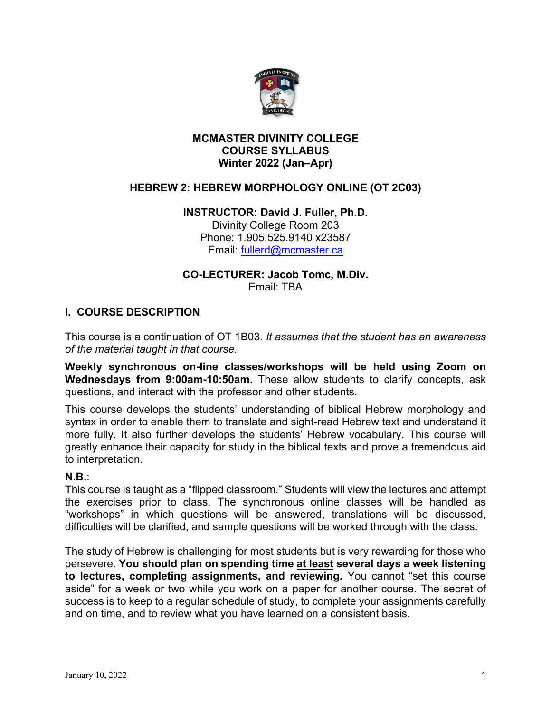

#### **MCMASTER DIVINITY COLLEGE COURSE SYLLABUS Winter 2022 (Jan–Apr)**

## **HEBREW 2: HEBREW MORPHOLOGY ONLINE (OT 2C03)**

#### **INSTRUCTOR: David J. Fuller, Ph.D.** Divinity College Room 203

Phone: 1.905.525.9140 x23587 Email: fullerd@mcmaster.ca

#### **CO-LECTURER: Jacob Tomc, M.Div.** Email: TBA

#### **I. COURSE DESCRIPTION**

This course is a continuation of OT 1B03. *It assumes that the student has an awareness of the material taught in that course.*

**Weekly synchronous on-line classes/workshops will be held using Zoom on Wednesdays from 9:00am-10:50am.** These allow students to clarify concepts, ask questions, and interact with the professor and other students.

This course develops the students' understanding of biblical Hebrew morphology and syntax in order to enable them to translate and sight-read Hebrew text and understand it more fully. It also further develops the students' Hebrew vocabulary. This course will greatly enhance their capacity for study in the biblical texts and prove a tremendous aid to interpretation.

#### **N.B.**:

This course is taught as a "flipped classroom." Students will view the lectures and attempt the exercises prior to class. The synchronous online classes will be handled as "workshops" in which questions will be answered, translations will be discussed, difficulties will be clarified, and sample questions will be worked through with the class.

The study of Hebrew is challenging for most students but is very rewarding for those who persevere. **You should plan on spending time at least several days a week listening to lectures, completing assignments, and reviewing.** You cannot "set this course aside" for a week or two while you work on a paper for another course. The secret of success is to keep to a regular schedule of study, to complete your assignments carefully and on time, and to review what you have learned on a consistent basis.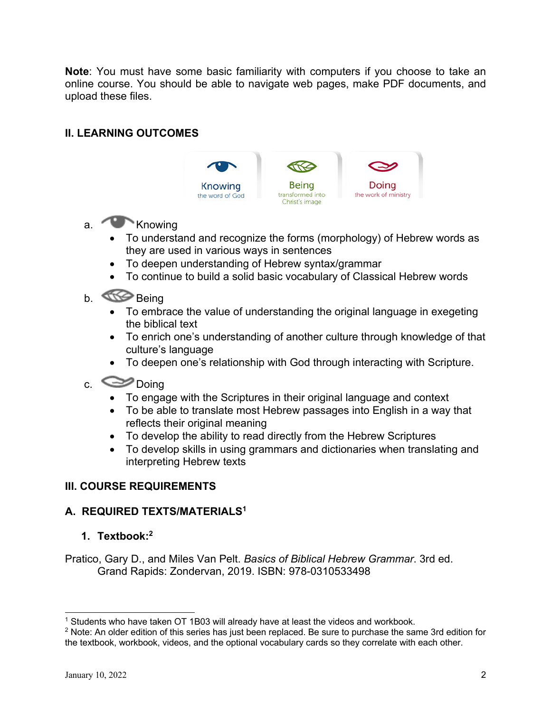**Note**: You must have some basic familiarity with computers if you choose to take an online course. You should be able to navigate web pages, make PDF documents, and upload these files.

# **II. LEARNING OUTCOMES**



# a. **Knowing**

- To understand and recognize the forms (morphology) of Hebrew words as they are used in various ways in sentences
- To deepen understanding of Hebrew syntax/grammar
- To continue to build a solid basic vocabulary of Classical Hebrew words

# b. **Being**

- To embrace the value of understanding the original language in exegeting the biblical text
- To enrich one's understanding of another culture through knowledge of that culture's language
- To deepen one's relationship with God through interacting with Scripture.

# c. Doing

- To engage with the Scriptures in their original language and context
- To be able to translate most Hebrew passages into English in a way that reflects their original meaning
- To develop the ability to read directly from the Hebrew Scriptures
- To develop skills in using grammars and dictionaries when translating and interpreting Hebrew texts

## **III. COURSE REQUIREMENTS**

## **A. REQUIRED TEXTS/MATERIALS1**

## **1. Textbook:2**

Pratico, Gary D., and Miles Van Pelt. *Basics of Biblical Hebrew Grammar*. 3rd ed. Grand Rapids: Zondervan, 2019. ISBN: 978-0310533498

 $1$  Students who have taken OT 1B03 will already have at least the videos and workbook.

<sup>&</sup>lt;sup>2</sup> Note: An older edition of this series has just been replaced. Be sure to purchase the same 3rd edition for the textbook, workbook, videos, and the optional vocabulary cards so they correlate with each other.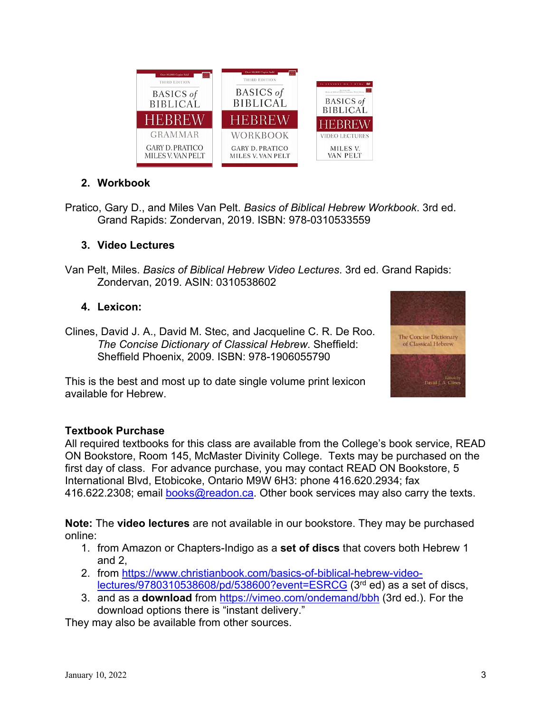

# **2. Workbook**

Pratico, Gary D., and Miles Van Pelt. *Basics of Biblical Hebrew Workbook*. 3rd ed. Grand Rapids: Zondervan, 2019. ISBN: 978-0310533559

## **3. Video Lectures**

Van Pelt, Miles. *Basics of Biblical Hebrew Video Lectures*. 3rd ed. Grand Rapids: Zondervan, 2019. ASIN: 0310538602

## **4. Lexicon:**

Clines, David J. A., David M. Stec, and Jacqueline C. R. De Roo. *The Concise Dictionary of Classical Hebrew*. Sheffield: Sheffield Phoenix, 2009. ISBN: 978-1906055790



This is the best and most up to date single volume print lexicon available for Hebrew.

## **Textbook Purchase**

All required textbooks for this class are available from the College's book service, READ ON Bookstore, Room 145, McMaster Divinity College. Texts may be purchased on the first day of class. For advance purchase, you may contact READ ON Bookstore, 5 International Blvd, Etobicoke, Ontario M9W 6H3: phone 416.620.2934; fax 416.622.2308; email books@readon.ca. Other book services may also carry the texts.

**Note:** The **video lectures** are not available in our bookstore. They may be purchased online:

- 1. from Amazon or Chapters-Indigo as a **set of discs** that covers both Hebrew 1 and 2,
- 2. from https://www.christianbook.com/basics-of-biblical-hebrew-videolectures/9780310538608/pd/538600?event=ESRCG (3rd ed) as a set of discs,
- 3. and as a **download** from https://vimeo.com/ondemand/bbh (3rd ed.). For the download options there is "instant delivery."

They may also be available from other sources.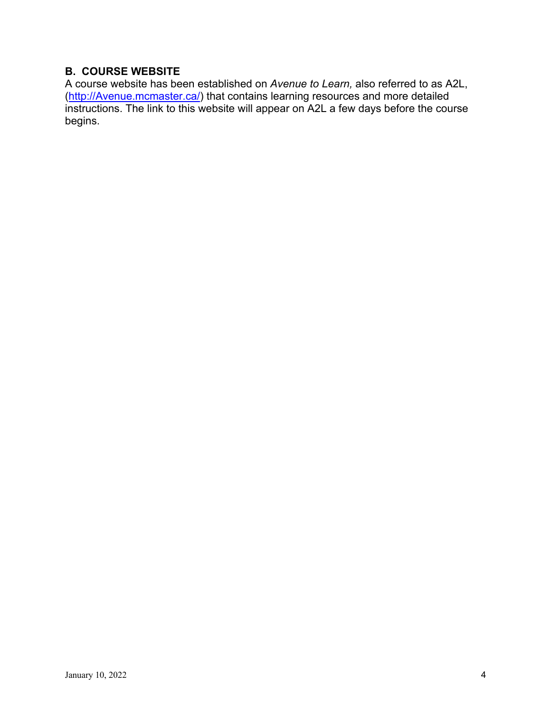# **B. COURSE WEBSITE**

A course website has been established on *Avenue to Learn,* also referred to as A2L, (http://Avenue.mcmaster.ca/) that contains learning resources and more detailed instructions. The link to this website will appear on A2L a few days before the course begins.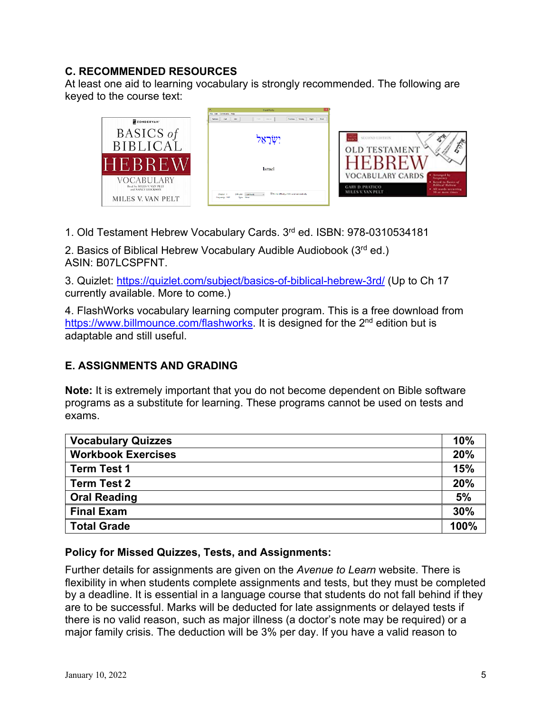## **C. RECOMMENDED RESOURCES**

At least one aid to learning vocabulary is strongly recommended. The following are keyed to the course text:



1. Old Testament Hebrew Vocabulary Cards. 3rd ed. ISBN: 978-0310534181

2. Basics of Biblical Hebrew Vocabulary Audible Audiobook (3rd ed.) ASIN: B07LCSPFNT.

3. Quizlet: https://quizlet.com/subject/basics-of-biblical-hebrew-3rd/ (Up to Ch 17 currently available. More to come.)

4. FlashWorks vocabulary learning computer program. This is a free download from https://www.billmounce.com/flashworks. It is designed for the 2<sup>nd</sup> edition but is adaptable and still useful.

## **E. ASSIGNMENTS AND GRADING**

**Note:** It is extremely important that you do not become dependent on Bible software programs as a substitute for learning. These programs cannot be used on tests and exams.

| <b>Vocabulary Quizzes</b> | 10%  |
|---------------------------|------|
| <b>Workbook Exercises</b> | 20%  |
| <b>Term Test 1</b>        | 15%  |
| <b>Term Test 2</b>        | 20%  |
| <b>Oral Reading</b>       | 5%   |
| <b>Final Exam</b>         | 30%  |
| <b>Total Grade</b>        | 100% |

#### **Policy for Missed Quizzes, Tests, and Assignments:**

Further details for assignments are given on the *Avenue to Learn* website. There is flexibility in when students complete assignments and tests, but they must be completed by a deadline. It is essential in a language course that students do not fall behind if they are to be successful. Marks will be deducted for late assignments or delayed tests if there is no valid reason, such as major illness (a doctor's note may be required) or a major family crisis. The deduction will be 3% per day. If you have a valid reason to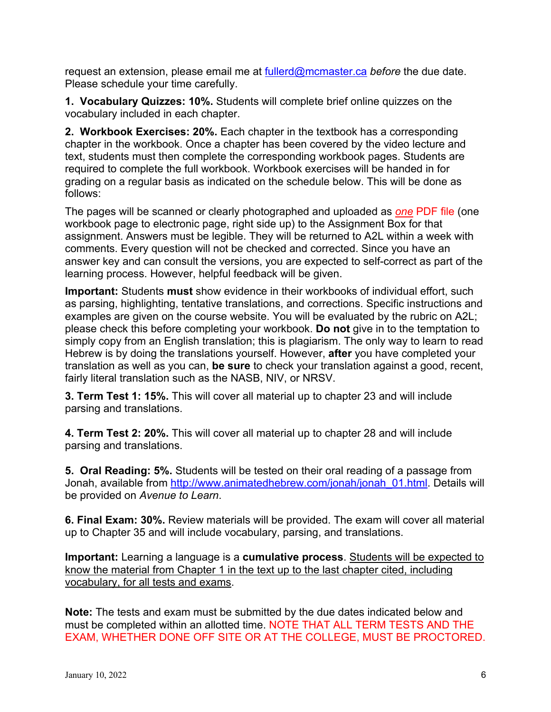request an extension, please email me at fullerd@mcmaster.ca *before* the due date. Please schedule your time carefully.

**1. Vocabulary Quizzes: 10%.** Students will complete brief online quizzes on the vocabulary included in each chapter.

**2. Workbook Exercises: 20%.** Each chapter in the textbook has a corresponding chapter in the workbook. Once a chapter has been covered by the video lecture and text, students must then complete the corresponding workbook pages. Students are required to complete the full workbook. Workbook exercises will be handed in for grading on a regular basis as indicated on the schedule below. This will be done as follows:

The pages will be scanned or clearly photographed and uploaded as *one* PDF file (one workbook page to electronic page, right side up) to the Assignment Box for that assignment. Answers must be legible. They will be returned to A2L within a week with comments. Every question will not be checked and corrected. Since you have an answer key and can consult the versions, you are expected to self-correct as part of the learning process. However, helpful feedback will be given.

**Important:** Students **must** show evidence in their workbooks of individual effort, such as parsing, highlighting, tentative translations, and corrections. Specific instructions and examples are given on the course website. You will be evaluated by the rubric on A2L; please check this before completing your workbook. **Do not** give in to the temptation to simply copy from an English translation; this is plagiarism. The only way to learn to read Hebrew is by doing the translations yourself. However, **after** you have completed your translation as well as you can, **be sure** to check your translation against a good, recent, fairly literal translation such as the NASB, NIV, or NRSV.

**3. Term Test 1: 15%.** This will cover all material up to chapter 23 and will include parsing and translations.

**4. Term Test 2: 20%.** This will cover all material up to chapter 28 and will include parsing and translations.

**5. Oral Reading: 5%.** Students will be tested on their oral reading of a passage from Jonah, available from http://www.animatedhebrew.com/jonah/jonah\_01.html. Details will be provided on *Avenue to Learn*.

**6. Final Exam: 30%.** Review materials will be provided. The exam will cover all material up to Chapter 35 and will include vocabulary, parsing, and translations.

**Important:** Learning a language is a **cumulative process**. Students will be expected to know the material from Chapter 1 in the text up to the last chapter cited, including vocabulary, for all tests and exams.

**Note:** The tests and exam must be submitted by the due dates indicated below and must be completed within an allotted time. NOTE THAT ALL TERM TESTS AND THE EXAM, WHETHER DONE OFF SITE OR AT THE COLLEGE, MUST BE PROCTORED.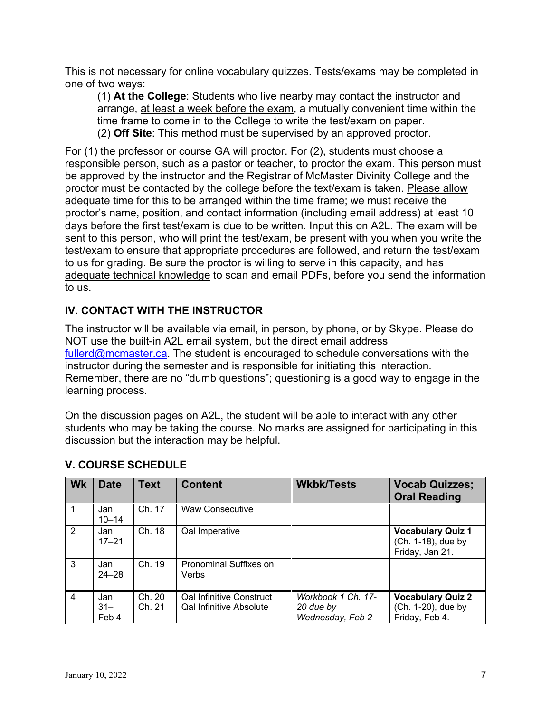This is not necessary for online vocabulary quizzes. Tests/exams may be completed in one of two ways:

(1) **At the College**: Students who live nearby may contact the instructor and arrange, at least a week before the exam, a mutually convenient time within the time frame to come in to the College to write the test/exam on paper. (2) **Off Site**: This method must be supervised by an approved proctor.

For (1) the professor or course GA will proctor. For (2), students must choose a responsible person, such as a pastor or teacher, to proctor the exam. This person must be approved by the instructor and the Registrar of McMaster Divinity College and the proctor must be contacted by the college before the text/exam is taken. Please allow adequate time for this to be arranged within the time frame; we must receive the proctor's name, position, and contact information (including email address) at least 10 days before the first test/exam is due to be written. Input this on A2L. The exam will be sent to this person, who will print the test/exam, be present with you when you write the test/exam to ensure that appropriate procedures are followed, and return the test/exam to us for grading. Be sure the proctor is willing to serve in this capacity, and has adequate technical knowledge to scan and email PDFs, before you send the information to us.

# **IV. CONTACT WITH THE INSTRUCTOR**

The instructor will be available via email, in person, by phone, or by Skype. Please do NOT use the built-in A2L email system, but the direct email address fullerd@mcmaster.ca. The student is encouraged to schedule conversations with the instructor during the semester and is responsible for initiating this interaction. Remember, there are no "dumb questions"; questioning is a good way to engage in the learning process.

On the discussion pages on A2L, the student will be able to interact with any other students who may be taking the course. No marks are assigned for participating in this discussion but the interaction may be helpful.

| <b>Wk</b>     | <b>Date</b>            | <b>Text</b>      | <b>Content</b>                                                    | <b>Wkbk/Tests</b>                                   | <b>Vocab Quizzes;</b><br><b>Oral Reading</b>                      |
|---------------|------------------------|------------------|-------------------------------------------------------------------|-----------------------------------------------------|-------------------------------------------------------------------|
|               | Jan<br>$10 - 14$       | Ch. 17           | <b>Waw Consecutive</b>                                            |                                                     |                                                                   |
| $\mathcal{P}$ | Jan<br>$17 - 21$       | Ch. 18           | Qal Imperative                                                    |                                                     | <b>Vocabulary Quiz 1</b><br>(Ch. 1-18), due by<br>Friday, Jan 21. |
| 3             | Jan<br>$24 - 28$       | Ch. 19           | <b>Pronominal Suffixes on</b><br>Verbs                            |                                                     |                                                                   |
| 4             | Jan<br>$31 -$<br>Feb 4 | Ch. 20<br>Ch. 21 | <b>Qal Infinitive Construct</b><br><b>Qal Infinitive Absolute</b> | Workbook 1 Ch. 17-<br>20 due by<br>Wednesday, Feb 2 | <b>Vocabulary Quiz 2</b><br>(Ch. 1-20), due by<br>Friday, Feb 4.  |

# **V. COURSE SCHEDULE**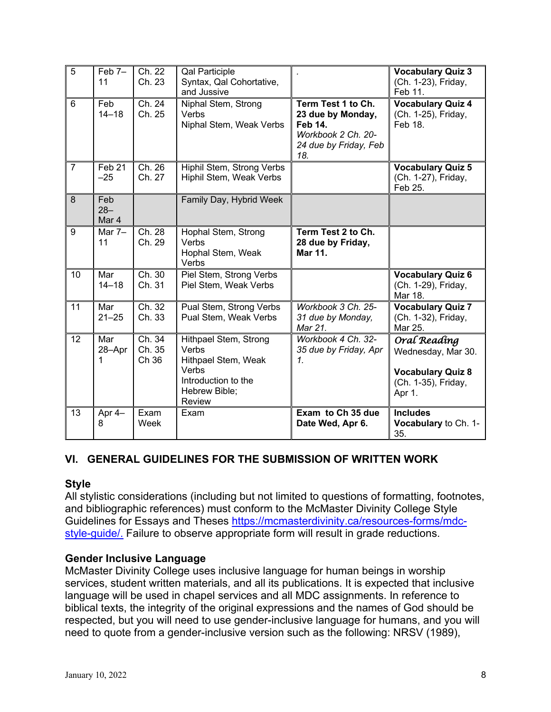| 5              | Feb 7-<br>11               | Ch. 22<br>Ch. 23          | <b>Qal Participle</b><br>Syntax, Qal Cohortative,<br>and Jussive                                                        |                                                                                                                 | <b>Vocabulary Quiz 3</b><br>(Ch. 1-23), Friday,<br>Feb 11.                                      |
|----------------|----------------------------|---------------------------|-------------------------------------------------------------------------------------------------------------------------|-----------------------------------------------------------------------------------------------------------------|-------------------------------------------------------------------------------------------------|
| $6\phantom{1}$ | Feb<br>$14 - 18$           | Ch. 24<br>Ch. 25          | Niphal Stem, Strong<br>Verbs<br>Niphal Stem, Weak Verbs                                                                 | Term Test 1 to Ch.<br>23 due by Monday,<br><b>Feb 14.</b><br>Workbook 2 Ch. 20-<br>24 due by Friday, Feb<br>18. | <b>Vocabulary Quiz 4</b><br>(Ch. 1-25), Friday,<br>Feb 18.                                      |
| $\overline{7}$ | Feb <sub>21</sub><br>$-25$ | Ch. 26<br>Ch. 27          | Hiphil Stem, Strong Verbs<br>Hiphil Stem, Weak Verbs                                                                    |                                                                                                                 | <b>Vocabulary Quiz 5</b><br>(Ch. 1-27), Friday,<br>Feb 25.                                      |
| 8              | Feb<br>$28 -$<br>Mar 4     |                           | Family Day, Hybrid Week                                                                                                 |                                                                                                                 |                                                                                                 |
| 9              | Mar $7-$<br>11             | Ch. 28<br>Ch. 29          | Hophal Stem, Strong<br>Verbs<br>Hophal Stem, Weak<br>Verbs                                                              | Term Test 2 to Ch.<br>28 due by Friday,<br>Mar 11.                                                              |                                                                                                 |
| 10             | Mar<br>$14 - 18$           | Ch. 30<br>Ch. 31          | Piel Stem, Strong Verbs<br>Piel Stem, Weak Verbs                                                                        |                                                                                                                 | <b>Vocabulary Quiz 6</b><br>(Ch. 1-29), Friday,<br>Mar 18.                                      |
| 11             | Mar<br>$21 - 25$           | Ch. 32<br>Ch. 33          | Pual Stem, Strong Verbs<br>Pual Stem, Weak Verbs                                                                        | Workbook 3 Ch. 25-<br>31 due by Monday,<br>Mar 21.                                                              | Vocabulary Quiz 7<br>(Ch. 1-32), Friday,<br>Mar 25.                                             |
| 12             | Mar<br>28-Apr<br>1         | Ch. 34<br>Ch. 35<br>Ch 36 | Hithpael Stem, Strong<br>Verbs<br>Hithpael Stem, Weak<br>Verbs<br>Introduction to the<br>Hebrew Bible;<br><b>Review</b> | Workbook 4 Ch. 32-<br>35 due by Friday, Apr<br>$\mathcal{I}$ .                                                  | Oral Reading<br>Wednesday, Mar 30.<br><b>Vocabulary Quiz 8</b><br>(Ch. 1-35), Friday,<br>Apr 1. |
| 13             | Apr 4-<br>8                | Exam<br>Week              | Exam                                                                                                                    | Exam to Ch 35 due<br>Date Wed, Apr 6.                                                                           | <b>Includes</b><br>Vocabulary to Ch. 1-<br>35.                                                  |

## **VI. GENERAL GUIDELINES FOR THE SUBMISSION OF WRITTEN WORK**

#### **Style**

All stylistic considerations (including but not limited to questions of formatting, footnotes, and bibliographic references) must conform to the McMaster Divinity College Style Guidelines for Essays and Theses https://mcmasterdivinity.ca/resources-forms/mdcstyle-guide/. Failure to observe appropriate form will result in grade reductions.

#### **Gender Inclusive Language**

McMaster Divinity College uses inclusive language for human beings in worship services, student written materials, and all its publications. It is expected that inclusive language will be used in chapel services and all MDC assignments. In reference to biblical texts, the integrity of the original expressions and the names of God should be respected, but you will need to use gender-inclusive language for humans, and you will need to quote from a gender-inclusive version such as the following: NRSV (1989),